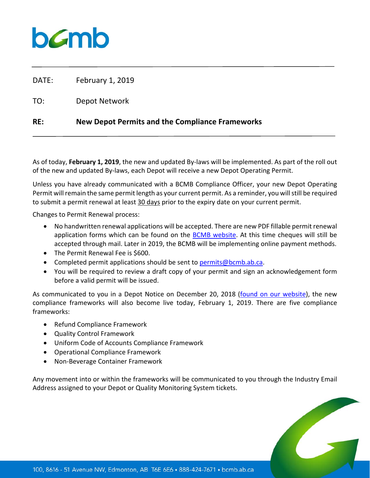

DATE: February 1, 2019

TO: Depot Network

## **RE: New Depot Permits and the Compliance Frameworks**

As of today, **February 1, 2019**, the new and updated By‐laws will be implemented. As part of the roll out of the new and updated By‐laws, each Depot will receive a new Depot Operating Permit.

Unless you have already communicated with a BCMB Compliance Officer, your new Depot Operating Permit will remain the same permit length as your current permit. As a reminder, you will still be required to submit a permit renewal at least 30 days prior to the expiry date on your current permit.

Changes to Permit Renewal process:

- No handwritten renewal applications will be accepted. There are new PDF fillable permit renewal application forms which can be found on the BCMB website. At this time cheques will still be accepted through mail. Later in 2019, the BCMB will be implementing online payment methods.
- The Permit Renewal Fee is \$600.
- Completed permit applications should be sent to permits@bcmb.ab.ca.
- You will be required to review a draft copy of your permit and sign an acknowledgement form before a valid permit will be issued.

As communicated to you in a Depot Notice on December 20, 2018 (found on our website), the new compliance frameworks will also become live today, February 1, 2019. There are five compliance frameworks:

- Refund Compliance Framework
- Quality Control Framework
- Uniform Code of Accounts Compliance Framework
- Operational Compliance Framework
- Non-Beverage Container Framework

Any movement into or within the frameworks will be communicated to you through the Industry Email Address assigned to your Depot or Quality Monitoring System tickets.